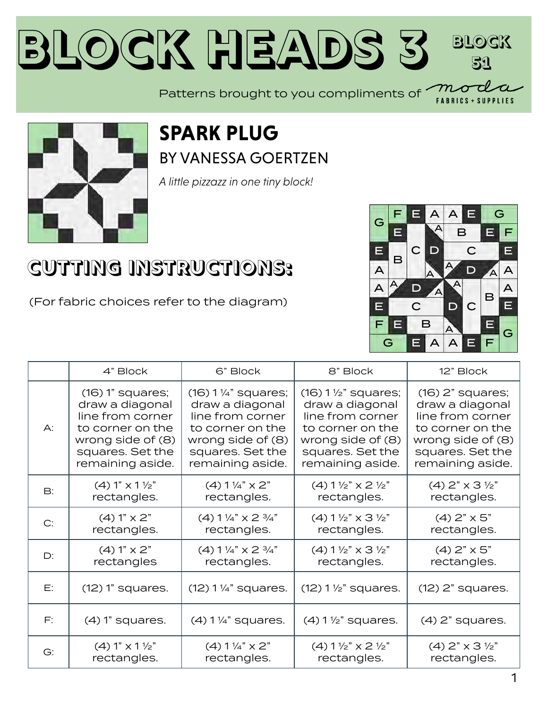#### **Block Heads [3](https://my.modafabrics.com/) Block 51** Patterns brought to you compliments of  $\begin{array}{c} \overline{m} \\ m \end{array}$

### **SPARK PLUG** BY [VANESSA GOERTZEN](https://my.modafabrics.com/designers/lella-boutique)

*A little pizzazz in one tiny block!*

## **CUTTING INSTRUCTIONS:**

(For fabric choices refer to the diagram)



**LIFS** 

|           | 4" Block                 | 6" Block                          | 8" Block                                    | 12" Block                           |
|-----------|--------------------------|-----------------------------------|---------------------------------------------|-------------------------------------|
| $A$ :     | $(16)$ 1" squares;       | $(16) 1\frac{1}{4}$ " squares;    | $(16) 1 \frac{1}{2}$ squares;               | $(16)$ 2" squares;                  |
|           | draw a diagonal          | draw a diagonal                   | draw a diagonal                             | draw a diagonal                     |
|           | line from corner         | line from corner                  | line from corner                            | line from corner                    |
|           | to corner on the         | to corner on the                  | to corner on the                            | to corner on the                    |
|           | wrong side of (8)        | wrong side of (8)                 | wrong side of (8)                           | wrong side of (8)                   |
|           | squares. Set the         | squares. Set the                  | squares. Set the                            | squares. Set the                    |
|           | remaining aside.         | remaining aside.                  | remaining aside.                            | remaining aside.                    |
| <b>B:</b> | $(4) 1" x 1 \frac{1}{2"$ | $(4)$ 1 $\frac{1}{4}$ $\times$ 2" | $(4)$ 1 $\frac{1}{2}$ " x 2 $\frac{1}{2}$ " | $(4)$ 2" $\times$ 3 $\frac{1}{2}$ " |
|           | rectangles.              | rectangles.                       | rectangles.                                 | rectangles.                         |
| C:        | $(4) 1" \times 2"$       | $(4)$ 1 1/4" $\times$ 2 3/4"      | $(4)$ 1 $\frac{1}{2}$ " x 3 $\frac{1}{2}$ " | $(4)$ 2" $\times$ 5"                |
|           | rectangles.              | rectangles.                       | rectangles.                                 | rectangles.                         |
| $D$ :     | $(4) 1" \times 2"$       | $(4)$ 1 1/4" $\times$ 2 3/4"      | $(4)$ 1 $\frac{1}{2}$ " x 3 $\frac{1}{2}$ " | $(4)$ 2" $\times$ 5"                |
|           | rectangles               | rectangles.                       | rectangles.                                 | rectangles.                         |
| E:        | $(12)$ 1" squares.       | $(12)$ 1 1/4" squares.            | $(12) 1 \frac{1}{2}$ squares.               | $(12)$ 2" squares.                  |
| F:        | $(4)$ 1" squares.        | $(4)$ 1 1/4" squares.             | $(4)$ 1 $\frac{1}{2}$ " squares.            | $(4)$ 2" squares.                   |
| G:        | $(4) 1" x 1 \frac{1}{2"$ | $(4) 1\frac{1}{4}$ x 2"           | $(4)$ 1 $\frac{1}{2}$ " x 2 $\frac{1}{2}$ " | $(4)$ 2" $\times$ 3 $\frac{1}{2}$ " |
|           | rectangles.              | rectangles.                       | rectangles.                                 | rectangles.                         |